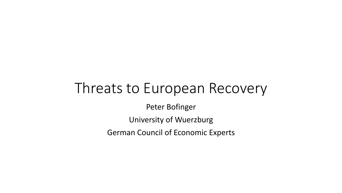#### Threats to European Recovery

Peter Bofinger

University of Wuerzburg

German Council of Economic Experts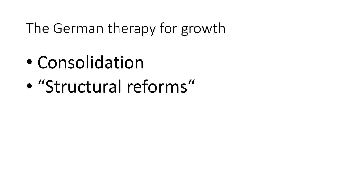The German therapy for growth

- Consolidation
- "Structural reforms"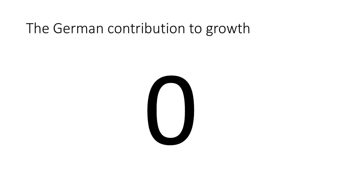# The German contribution to growth

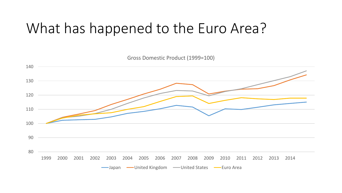# What has happened to the Euro Area?

 2000 2001 2002 2003 2004 2005 2006 2007 2008 2009 2010 2011 2012 2013 2014 Gross Domestic Product (1999=100) -Japan - United Kingdom - United States - Euro Area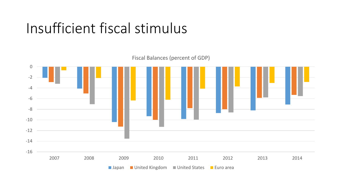# Insufficient fiscal stimulus

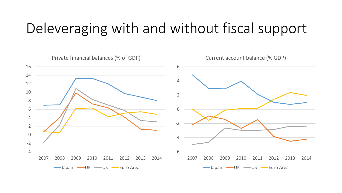# Deleveraging with and without fiscal support

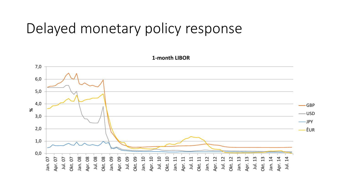#### Delayed monetary policy response

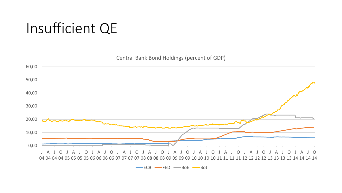# Insufficient QE

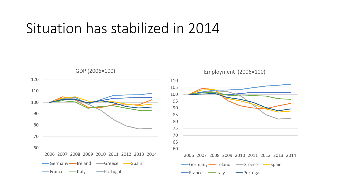#### Situation has stabilized in 2014





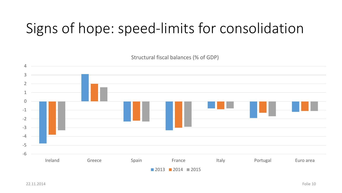# Signs of hope: speed-limits for consolidation

-6 -5 -4 -3 -2 -1 0 1 2 3 4 Ireland Greece Spain France Italy Portugal Euro area

■ 2013 ■ 2014 ■ 2015

Structural fiscal balances (% of GDP)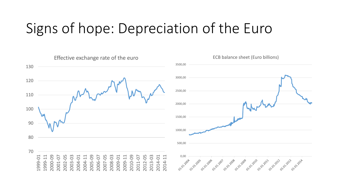# Signs of hope: Depreciation of the Euro

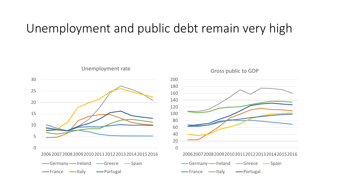#### Unemployment and public debt remain very high



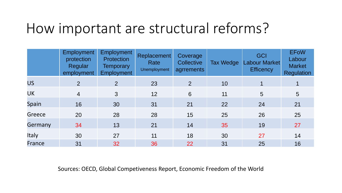#### How important are structural reforms?

|           | <b>Employment</b><br>protection<br><b>Regular</b><br>employment | Employment<br><b>Protection</b><br>Temporary<br>Employment | Replacement<br>Rate<br><b>Unemployment</b> | Coverage<br>Collective<br>agrrements | <b>Tax Wedge</b> | <b>GCI</b><br><b>Labour Market</b><br><b>Efficency</b> | <b>EFoW</b><br>Labour<br><b>Market</b><br>Regulation |
|-----------|-----------------------------------------------------------------|------------------------------------------------------------|--------------------------------------------|--------------------------------------|------------------|--------------------------------------------------------|------------------------------------------------------|
| <b>US</b> | 2                                                               | 2                                                          | 23                                         | $\overline{2}$                       | 10               |                                                        |                                                      |
| UK        | $\overline{4}$                                                  | 3                                                          | 12                                         | 6                                    | 11               | 5                                                      | $5\overline{)}$                                      |
| Spain     | 16                                                              | 30                                                         | 31                                         | 21                                   | 22               | 24                                                     | 21                                                   |
| Greece    | 20                                                              | 28                                                         | 28                                         | 15                                   | 25               | 26                                                     | 25                                                   |
| Germany   | 34                                                              | 13                                                         | 21                                         | 14                                   | 35               | 19                                                     | 27                                                   |
| Italy     | 30                                                              | 27                                                         | 11                                         | 18                                   | 30               | 27                                                     | 14                                                   |
| France    | 31                                                              | 32                                                         | 36                                         | 22                                   | 31               | 25                                                     | 16                                                   |

#### Sources: OECD, Global Competiveness Report, Economic Freedom of the World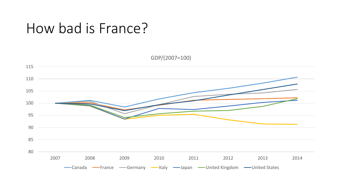#### How bad is France?

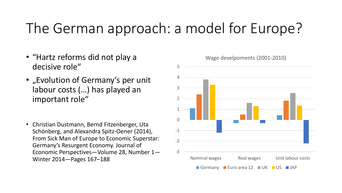# The German approach: a model for Europe?

- "Hartz reforms did not play a decisive role"
- "Evolution of Germany's per unit labour costs (…) has played an important role"
- Christian Dustmann, Bernd Fitzenberger, Uta Schönberg, and Alexandra Spitz-Oener (2014), From Sick Man of Europe to Economic Superstar: Germany's Resurgent Economy. Journal of Economic Perspectives—Volume 28, Number 1— Winter 2014—Pages 167–188

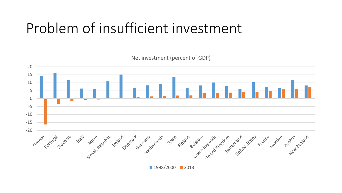# Problem of insufficient investment

Net investment (percent of GDP) 20 15 10 5 0 -5 -10 -15 -20 Greece port st Slovenia Portugal Finland Ireland central Germany Relands Spain deleturn edublic ringdom united states Suteden P **Kall** slovak Republic

1998/2000 2013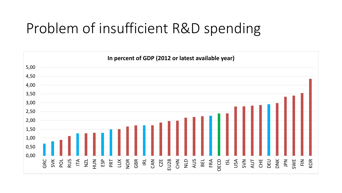# Problem of insufficient R&D spending